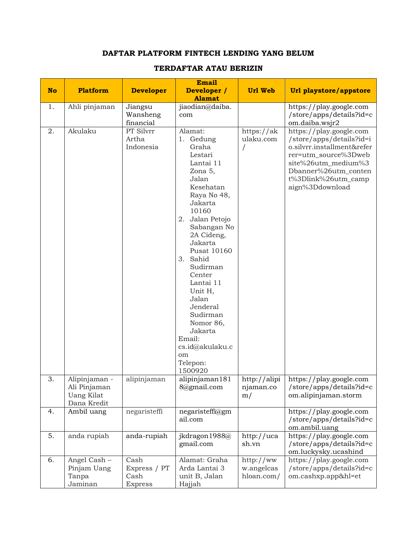## **DAFTAR PLATFORM FINTECH LENDING YANG BELUM**

|           |                                                                   |                                                | <b>Email</b>                                                                                                                                                                                                                                                                                                                                                                        |                                       |                                                                                                                                                                                                    |
|-----------|-------------------------------------------------------------------|------------------------------------------------|-------------------------------------------------------------------------------------------------------------------------------------------------------------------------------------------------------------------------------------------------------------------------------------------------------------------------------------------------------------------------------------|---------------------------------------|----------------------------------------------------------------------------------------------------------------------------------------------------------------------------------------------------|
| <b>No</b> | <b>Platform</b>                                                   | <b>Developer</b>                               | Developer /<br><b>Alamat</b>                                                                                                                                                                                                                                                                                                                                                        | <b>Url Web</b>                        | Url playstore/appstore                                                                                                                                                                             |
| 1.        | Ahli pinjaman                                                     | Jiangsu<br>Wansheng<br>financial               | jiaodian@daiba.<br>com                                                                                                                                                                                                                                                                                                                                                              |                                       | https://play.google.com<br>/store/apps/details?id=c<br>om.daiba.wsjr2                                                                                                                              |
| 2.        | Akulaku                                                           | PT Silvrr<br>Artha<br>Indonesia                | Alamat:<br>1. Gedung<br>Graha<br>Lestari<br>Lantai 11<br>Zona 5,<br>Jalan<br>Kesehatan<br>Raya No 48,<br>Jakarta<br>10160<br>Jalan Petojo<br>2.<br>Sabangan No<br>2A Cideng,<br>Jakarta<br>Pusat 10160<br>3. Sahid<br>Sudirman<br>Center<br>Lantai 11<br>Unit H,<br>Jalan<br>Jenderal<br>Sudirman<br>Nomor 86,<br>Jakarta<br>Email:<br>cs.id@akulaku.c<br>om<br>Telepon:<br>1500920 | https://ak<br>ulaku.com               | https://play.google.com<br>/store/apps/details?id=i<br>o.silvrr.installment&refer<br>rer=utm_source%3Dweb<br>site%26utm_medium%3<br>Dbanner%26utm_conten<br>t%3Dlink%26utm_camp<br>aign%3Ddownload |
| 3.        | Alipinjaman -<br>Ali Pinjaman<br><b>Uang Kilat</b><br>Dana Kredit | alipinjaman                                    | alipinjaman181<br>8@gmail.com                                                                                                                                                                                                                                                                                                                                                       | http://alipi<br>njaman.co<br>m/       | https://play.google.com<br>/store/apps/details?id=c<br>om.alipinjaman.storm                                                                                                                        |
| 4.        | Ambil uang                                                        | negaristeffi                                   | negaristeffi@gm<br>ail.com                                                                                                                                                                                                                                                                                                                                                          |                                       | https://play.google.com<br>/store/apps/details?id=c<br>om.ambil.uang                                                                                                                               |
| 5.        | anda rupiah                                                       | anda-rupiah                                    | jkdragon 1988@<br>gmail.com                                                                                                                                                                                                                                                                                                                                                         | http://uca<br>sh.vn                   | https://play.google.com<br>/store/apps/details?id=c<br>om.luckysky.ucashind                                                                                                                        |
| 6.        | Angel Cash -<br>Pinjam Uang<br>Tanpa<br>Jaminan                   | Cash<br>Express / PT<br>Cash<br><b>Express</b> | Alamat: Graha<br>Arda Lantai 3<br>unit B, Jalan<br>Hajjah                                                                                                                                                                                                                                                                                                                           | http://ww<br>w.angelcas<br>hloan.com/ | https://play.google.com<br>/store/apps/details?id=c<br>om.cashxp.app&hl=et                                                                                                                         |

## **TERDAFTAR ATAU BERIZIN**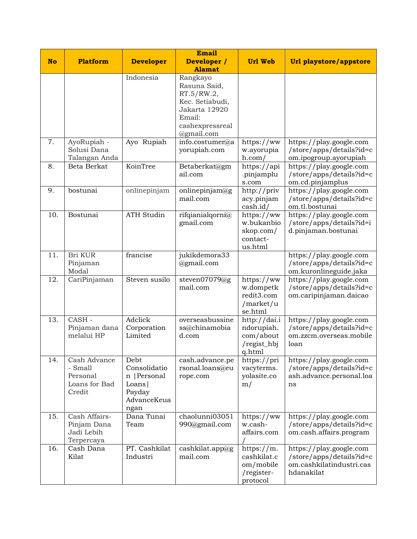| <b>No</b> | <b>Platform</b>                                                | <b>Developer</b>                                                                 | <b>Email</b><br>Developer /<br><b>Alamat</b>                                                                          | Url Web                                                          | Url playstore/appstore                                                                        |
|-----------|----------------------------------------------------------------|----------------------------------------------------------------------------------|-----------------------------------------------------------------------------------------------------------------------|------------------------------------------------------------------|-----------------------------------------------------------------------------------------------|
|           |                                                                | Indonesia                                                                        | Rangkayo<br>Rasuna Said,<br>RT.5/RW.2,<br>Kec. Setiabudi,<br>Jakarta 12920<br>Email:<br>cashexpressreal<br>@gmail.com |                                                                  |                                                                                               |
| 7.        | AyoRupiah -<br>Solusi Dana<br>Talangan Anda                    | Ayo Rupiah                                                                       | info.costumer@a<br>yorupiah.com                                                                                       | https://ww<br>w.ayorupia<br>h.com/                               | https://play.google.com<br>/store/apps/details?id=c<br>om.ipogroup.ayorupiah                  |
| 8.        | Beta Berkat                                                    | KoinTree                                                                         | Betaberkat@gm<br>ail.com                                                                                              | https://api<br>.pinjamplu<br>s.com                               | https://play.google.com<br>/store/apps/details?id=c<br>om.cd.pinjamplus                       |
| 9.        | bostunai                                                       | onlinepinjam                                                                     | onlinepinjam $@g$<br>mail.com                                                                                         | http://priv<br>acy.pinjam<br>cash.id/                            | https://play.google.com<br>/store/apps/details?id=c<br>om.tl.bostunai                         |
| 10.       | Bostunai                                                       | <b>ATH Studin</b>                                                                | rifqianialqorni@<br>gmail.com                                                                                         | https://ww<br>w.bukanbio<br>skop.com/<br>contact-<br>us.html     | https://play.google.com<br>/store/apps/details?id=i<br>d.pinjaman.bostunai                    |
| 11.       | Bri KUR<br>Pinjaman<br>Modal                                   | francise                                                                         | jukikdemora33<br>@gmail.com                                                                                           |                                                                  | https://play.google.com<br>/store/apps/details?id=c<br>om.kuronlineguide.jaka                 |
| 12.       | CariPinjaman                                                   | Steven susilo                                                                    | steven07079@g<br>mail.com                                                                                             | https://ww<br>w.dompetk<br>redit3.com<br>/market/u<br>se.html    | https://play.google.com<br>/store/apps/details?id=c<br>om.caripinjaman.daicao                 |
| 13.       | CASH-<br>Pinjaman dana<br>melalui HP                           | Adclick<br>Corporation<br>Limited                                                | overseasbussine<br>ss@chinamobia<br>d.com                                                                             | http://dai.i<br>ndorupiah.<br>com/about<br>/regist_hbj<br>q.html | https://play.google.com<br>/store/apps/details?id=c<br>om.zzcm.overseas.mobile<br>loan        |
| 14.       | Cash Advance<br>- Small<br>Personal<br>Loans for Bad<br>Credit | Debt<br>Consolidatio<br>n   Personal<br>Loans  <br>Payday<br>AdvanceKeua<br>ngan | cash.advance.pe<br>rsonal.loans@eu<br>rope.com                                                                        | https://pri<br>vacyterms.<br>yolasite.co<br>m/                   | https://play.google.com<br>/store/apps/details?id=c<br>ash.advance.personal.loa<br>ns         |
| 15.       | Cash Affairs-<br>Pinjam Dana<br>Jadi Lebih<br>Terpercaya       | Dana Tunai<br>Team                                                               | chaolunni03051<br>990@gmail.com                                                                                       | https://ww<br>w.cash-<br>affairs.com                             | https://play.google.com<br>/store/apps/details?id=c<br>om.cash.affairs.program                |
| 16.       | Cash Dana<br>Kilat                                             | PT. Cashkilat<br>Industri                                                        | cashkilat.app@g<br>mail.com                                                                                           | https://m.<br>cashkilat.c<br>om/mobile<br>/register-<br>protocol | https://play.google.com<br>/store/apps/details?id=c<br>om.cashkilatindustri.cas<br>hdanakilat |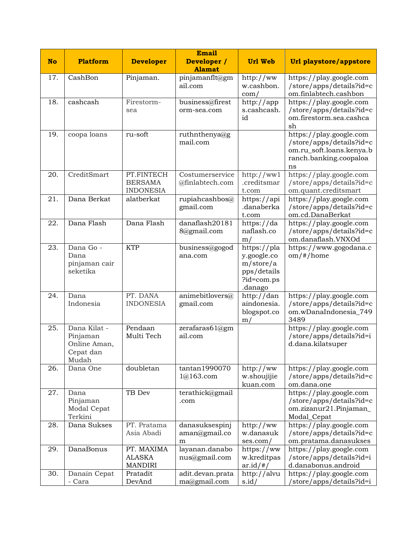|           |                                                                |                                                  | <b>Email</b>                                      |                                                                                 |                                                                                                                 |
|-----------|----------------------------------------------------------------|--------------------------------------------------|---------------------------------------------------|---------------------------------------------------------------------------------|-----------------------------------------------------------------------------------------------------------------|
| <b>No</b> | <b>Platform</b>                                                | <b>Developer</b>                                 | Developer /<br><b>Alamat</b>                      | Url Web                                                                         | Url playstore/appstore                                                                                          |
| 17.       | CashBon                                                        | Pinjaman.                                        | pinjamanflt@gm<br>ail.com                         | http://ww<br>w.cashbon.<br>com/                                                 | https://play.google.com<br>/store/apps/details?id=c<br>om.finlabtech.cashbon                                    |
| 18.       | cashcash                                                       | Firestorm-<br>sea                                | business@firest<br>orm-sea.com                    | http://app<br>s.cashcash.<br>id                                                 | https://play.google.com<br>/store/apps/details?id=c<br>om.firestorm.sea.cashca<br>sh                            |
| 19.       | coopa loans                                                    | ru-soft                                          | ruthnthenya@g<br>mail.com                         |                                                                                 | https://play.google.com<br>/store/apps/details?id=c<br>om.ru_soft.loans.kenya.b<br>ranch.banking.coopaloa<br>ns |
| 20.       | CreditSmart                                                    | PT.FINTECH<br><b>BERSAMA</b><br><b>INDONESIA</b> | Costumerservice<br>@finlabtech.com                | http://ww1<br>.creditsmar<br>t.com                                              | https://play.google.com<br>/store/apps/details?id=c<br>om.quant.creditsmart                                     |
| 21.       | Dana Berkat                                                    | alatberkat                                       | rupiahcashbos@<br>gmail.com                       | https://api<br>.danaberka<br>t.com                                              | https://play.google.com<br>/store/apps/details?id=c<br>om.cd.DanaBerkat                                         |
| 22.       | Dana Flash                                                     | Dana Flash                                       | $d$ anaflash $20181$<br>8@gmail.com               | https://da<br>naflash.co<br>m/                                                  | https://play.google.com<br>/store/apps/details?id=c<br>om.danaflash.VNXOd                                       |
| 23.       | Dana Go -<br>Dana<br>pinjaman cair<br>seketika                 | <b>KTP</b>                                       | business@gogod<br>ana.com                         | https://pla<br>y.google.co<br>m/store/a<br>pps/details<br>?id=com.ps<br>.danago | https://www.gogodana.c<br>$om/\#/home$                                                                          |
| 24.       | Dana<br>Indonesia                                              | PT. DANA<br><b>INDONESIA</b>                     | $\overline{\mathsf{animebitlovers}}$<br>gmail.com | http://dan<br>aindonesia.<br>blogspot.co<br>m/                                  | https://play.google.com<br>/store/apps/details?id=c<br>om.wDanaIndonesia_749<br>3489                            |
| 25.       | Dana Kilat -<br>Pinjaman<br>Online Aman,<br>Cepat dan<br>Mudah | Pendaan<br>Multi Tech                            | zerafaras61@gm<br>ail.com                         |                                                                                 | https://play.google.com<br>/store/apps/details?id=i<br>d.dana.kilatsuper                                        |
| 26.       | Dana One                                                       | doubletan                                        | tantan1990070<br>1@163.com                        | http://ww<br>w.shoujijie<br>kuan.com                                            | https://play.google.com<br>/store/apps/details?id=c<br>om.dana.one                                              |
| 27.       | Dana<br>Pinjaman<br>Modal Cepat<br>Terkini                     | TB Dev                                           | terathick@gmail<br>.com                           |                                                                                 | https://play.google.com<br>/store/apps/details?id=c<br>om.zizanur21.Pinjaman_<br>Modal_Cepat                    |
| 28.       | Dana Sukses                                                    | PT. Pratama<br>Asia Abadi                        | danasuksespinj<br>aman@gmail.co<br>m              | http://ww<br>w.danasuk<br>ses.com/                                              | https://play.google.com<br>/store/apps/details?id=c<br>om.pratama.danasukses                                    |
| 29.       | DanaBonus                                                      | PT. MAXIMA<br><b>ALASKA</b><br><b>MANDIRI</b>    | layanan.danabo<br>nus@gmail.com                   | https://ww<br>w.kreditpas<br>ar.id / #/                                         | https://play.google.com<br>/store/apps/details?id=i<br>d.danabonus.android                                      |
| 30.       | Danain Cepat<br>- Cara                                         | Pratadit<br>DevAnd                               | adit.devan.prata<br>ma@gmail.com                  | http://alvu<br>s.id/                                                            | https://play.google.com<br>store/apps/details?id=i                                                              |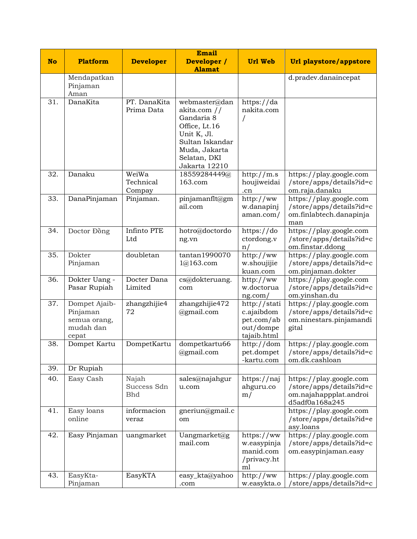| <b>No</b> | <b>Platform</b>                                                 | <b>Developer</b>                   | <b>Email</b><br>Developer /<br><b>Alamat</b>                                                                                                     | <b>Url Web</b>                                                       | Url playstore/appstore                                                                          |
|-----------|-----------------------------------------------------------------|------------------------------------|--------------------------------------------------------------------------------------------------------------------------------------------------|----------------------------------------------------------------------|-------------------------------------------------------------------------------------------------|
|           | Mendapatkan<br>Pinjaman<br>Aman                                 |                                    |                                                                                                                                                  |                                                                      | d.pradev.danaincepat                                                                            |
| 31.       | DanaKita                                                        | PT. DanaKita<br>Prima Data         | webmaster@dan<br>akita.com //<br>Gandaria 8<br>Office, Lt.16<br>Unit K, Jl.<br>Sultan Iskandar<br>Muda, Jakarta<br>Selatan, DKI<br>Jakarta 12210 | https://da<br>nakita.com                                             |                                                                                                 |
| 32.       | Danaku                                                          | WeiWa<br>Technical<br>Compay       | 18559284449@<br>163.com                                                                                                                          | http:// $m.s$<br>houjiweidai<br>.cn                                  | https://play.google.com<br>/store/apps/details?id=c<br>om.raja.danaku                           |
| 33.       | DanaPinjaman                                                    | Pinjaman.                          | pinjamanflt@gm<br>ail.com                                                                                                                        | http://ww<br>w.danapinj<br>aman.com/                                 | https://play.google.com<br>/store/apps/details?id=c<br>om.finlabtech.danapinja<br>man           |
| 34.       | Doctor Đồng                                                     | Infinto PTE<br>Ltd                 | hotro@doctordo<br>ng.vn                                                                                                                          | https://do<br>ctordong.v<br>n/                                       | https://play.google.com<br>/store/apps/details?id=c<br>om.finstar.ddong                         |
| 35.       | Dokter<br>Pinjaman                                              | doubletan                          | tantan1990070<br>1@163.com                                                                                                                       | http://ww<br>w.shoujijie<br>kuan.com                                 | https://play.google.com<br>/store/apps/details?id=c<br>om.pinjaman.dokter                       |
| 36.       | Dokter Uang -<br>Pasar Rupiah                                   | Docter Dana<br>Limited             | cs@dokteruang.<br>com                                                                                                                            | http://ww<br>w.doctorua<br>ng.com/                                   | https://play.google.com<br>/store/apps/details?id=c<br>om.yinshan.du                            |
| 37.       | Dompet Ajaib-<br>Pinjaman<br>semua orang,<br>mudah dan<br>cepat | zhangzhijie4<br>72                 | zhangzhijie472<br>@gmail.com                                                                                                                     | http://stati<br>c.ajaibdom<br>pet.com/ab<br>out/dompe<br>tajaib.html | https://play.google.com<br>/store/apps/details?id=c<br>om.ninestars.pinjamandi<br>gital         |
| 38.       | Dompet Kartu                                                    | DompetKartu                        | dompetkartu66<br>@gmail.com                                                                                                                      | http://dom<br>pet.dompet<br>-kartu.com                               | https://play.google.com<br>/store/apps/details?id=c<br>om.dk.cashloan                           |
| 39.       | Dr Rupiah                                                       |                                    |                                                                                                                                                  |                                                                      |                                                                                                 |
| 40.       | Easy Cash                                                       | Najah<br>Success Sdn<br><b>Bhd</b> | sales@najahgur<br>u.com                                                                                                                          | https://naj<br>ahguru.co<br>m/                                       | https://play.google.com<br>/store/apps/details?id=c<br>om.najahappplat.androi<br>d5adf0a168a245 |
| 41.       | Easy loans<br>online                                            | informacion<br>veraz               | gneriun@gmail.c<br>om                                                                                                                            |                                                                      | https://play.google.com<br>/store/apps/details?id=e<br>asy.loans                                |
| 42.       | Easy Pinjaman                                                   | uangmarket                         | Uangmarket@g<br>mail.com                                                                                                                         | https://ww<br>w.easypinja<br>manid.com<br>/privacy.ht<br>ml          | https://play.google.com<br>/store/apps/details?id=c<br>om.easypinjaman.easy                     |
| 43.       | EasyKta-<br>Pinjaman                                            | EasyKTA                            | easy_kta@yahoo<br>.com                                                                                                                           | http://ww<br>w.easykta.o                                             | https://play.google.com<br>/store/apps/details?id=c                                             |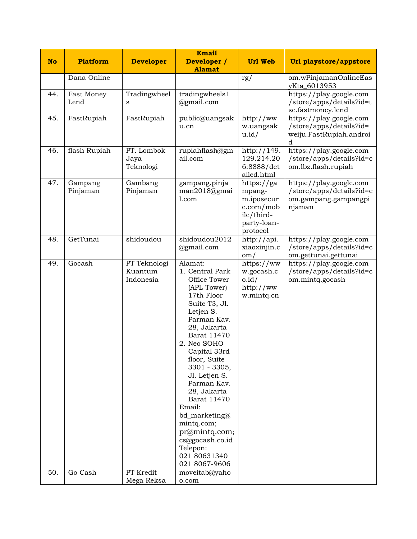| <b>No</b> | <b>Platform</b>     | <b>Developer</b>                     | <b>Email</b><br>Developer /<br><b>Alamat</b>                                                                                                                                                                                                                                                                                                                                                                                 | <b>Url Web</b>                                                                              | Url playstore/appstore                                                                |
|-----------|---------------------|--------------------------------------|------------------------------------------------------------------------------------------------------------------------------------------------------------------------------------------------------------------------------------------------------------------------------------------------------------------------------------------------------------------------------------------------------------------------------|---------------------------------------------------------------------------------------------|---------------------------------------------------------------------------------------|
|           | Dana Online         |                                      |                                                                                                                                                                                                                                                                                                                                                                                                                              | rg/                                                                                         | om.wPinjamanOnlineEas<br>yKta_6013953                                                 |
| 44.       | Fast Money<br>Lend  | Tradingwheel<br>S                    | tradingwheels1<br>@gmail.com                                                                                                                                                                                                                                                                                                                                                                                                 |                                                                                             | https://play.google.com<br>/store/apps/details?id=t<br>sc.fastmoney.lend              |
| 45.       | FastRupiah          | FastRupiah                           | public@uangsak<br>u.cn                                                                                                                                                                                                                                                                                                                                                                                                       | http://ww<br>w.uangsak<br>u.id/                                                             | https://play.google.com<br>/store/apps/details?id=<br>weiju.FastRupiah.androi<br>d    |
| 46.       | flash Rupiah        | PT. Lombok<br>Jaya<br>Teknologi      | rupiahflash@gm<br>ail.com                                                                                                                                                                                                                                                                                                                                                                                                    | http://149.<br>129.214.20<br>6:8888/det<br>ailed.html                                       | https://play.google.com<br>/store/apps/details?id=c<br>om.lbz.flash.rupiah            |
| 47.       | Gampang<br>Pinjaman | Gambang<br>Pinjaman                  | gampang.pinja<br>man2018@gmai<br>$1$ .com                                                                                                                                                                                                                                                                                                                                                                                    | https://ga<br>mpang-<br>m.iposecur<br>$e$ .com/mob<br>ile/third-<br>party-loan-<br>protocol | https://play.google.com<br>/store/apps/details?id=c<br>om.gampang.gampangpi<br>njaman |
| 48.       | GetTunai            | shidoudou                            | shidoudou2012<br>@gmail.com                                                                                                                                                                                                                                                                                                                                                                                                  | http://api.<br>xiaoxinjin.c<br>om/                                                          | https://play.google.com<br>/store/apps/details?id=c<br>om.gettunai.gettunai           |
| 49.       | Gocash              | PT Teknologi<br>Kuantum<br>Indonesia | Alamat:<br>1. Central Park<br>Office Tower<br>(APL Tower)<br>17th Floor<br>Suite T3, Jl.<br>Letjen S.<br>Parman Kav.<br>28, Jakarta<br><b>Barat 11470</b><br>2. Neo SOHO<br>Capital 33rd<br>floor, Suite<br>3301 - 3305,<br>Jl. Letjen S.<br>Parman Kav.<br>28, Jakarta<br><b>Barat 11470</b><br>Email:<br>$bd\_marketing(a)$<br>mintq.com;<br>pr@mintq.com;<br>cs@gocash.co.id<br>Telepon:<br>021 80631340<br>021 8067-9606 | https://ww<br>w.gocash.c<br>o.id/<br>http://ww<br>w.mintq.cn                                | https://play.google.com<br>/store/apps/details?id=c<br>om.mintq.gocash                |
| 50.       | Go Cash             | PT Kredit<br>Mega Reksa              | moveitab@yaho<br>o.com                                                                                                                                                                                                                                                                                                                                                                                                       |                                                                                             |                                                                                       |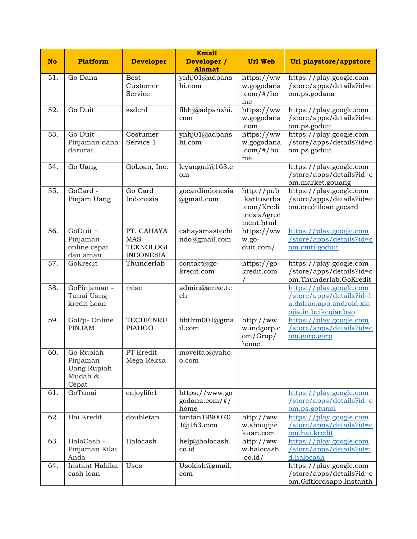| <b>No</b> | <b>Platform</b>                                                   | <b>Developer</b>                                                 | <b>Email</b><br>Developer /             | <b>Url Web</b>                                                      | Url playstore/appstore                                                                                 |
|-----------|-------------------------------------------------------------------|------------------------------------------------------------------|-----------------------------------------|---------------------------------------------------------------------|--------------------------------------------------------------------------------------------------------|
|           |                                                                   |                                                                  | <b>Alamat</b>                           |                                                                     |                                                                                                        |
| 51.       | Go Dana                                                           | <b>Best</b><br>Customer<br>Service                               | ynhj01@adpans<br>hi.com                 | https://ww<br>w.gogodana<br>.com/#/ho<br>me                         | https://play.google.com<br>/store/apps/details?id=c<br>om.ps.godana                                    |
| 52.       | Go Duit                                                           | ssdenl                                                           | flbhj@adpanshi.<br>com                  | https://ww<br>w.gogodana<br>.com                                    | https://play.google.com<br>/store/apps/details?id=c<br>om.ps.goduit                                    |
| 53.       | Go Duit -<br>Pinjaman dana<br>darurat                             | Costumer<br>Service 1                                            | ynhj01@adpans<br>hi.com                 | https://ww<br>w.gogodana<br>.com/#/ $ho$<br>me                      | https://play.google.com<br>/store/apps/details?id=c<br>om.ps.goduit                                    |
| 54.       | Go Uang                                                           | GoLoan, Inc.                                                     | lcyangmi@163.c<br>om                    |                                                                     | https://play.google.com<br>/store/apps/details?id=c<br>om.market.gouang                                |
| 55.       | GoCard -<br>Pinjam Uang                                           | Go Card<br>Indonesia                                             | gocardindonesia<br>@gmail.com           | http://pub<br>.kartuserba<br>.com/Kredi<br>tnesiaAgree<br>ment.html | https://play.google.com<br>/store/apps/details?id=c<br>om.creditloan.gocard                            |
| 56.       | GoDuit $\sim$<br>Pinjaman<br>online cepat<br>dan aman             | PT. CAHAYA<br><b>MAS</b><br><b>TEKNOLOGI</b><br><b>INDONESIA</b> | cahayamastechi<br>ndo@gmail.com         | https://ww<br>w.go-<br>duit.com/                                    | https://play.google.com<br>/store/apps/details?id=c<br>om.cmti.goduit                                  |
| 57.       | GoKredit                                                          | Thunderlab                                                       | contact@go-<br>kredit.com               | https://go-<br>kredit.com                                           | https://play.google.com<br>/store/apps/details?id=c<br>om.Thunderlab.GoKredit                          |
| 58.       | GoPinjaman -<br>Tunai Uang<br>kredit Loan                         | rxiao                                                            | admin@amxc.te<br>ch                     |                                                                     | https://play.google.com<br>/store/apps/details?id=1<br>a.dahuo.app.android.xia<br>ojia.in.beikeqianbao |
| 59.       | GoRp-Online<br><b>PINJAM</b>                                      | <b>TECHFINRU</b><br><b>PIAHGO</b>                                | bbtlrm001@gma<br>il.com                 | http://ww<br>w.indgorp.c<br>om/Grop/<br>home                        | https://play.google.com<br>/store/apps/details?id=c<br>om.gorp.gorp                                    |
| 60.       | Go Rupiah -<br>Pinjaman<br><b>Uang Rupiah</b><br>Mudah &<br>Cepat | PT Kredit<br>Mega Reksa                                          | moveitab@yaho<br>o.com                  |                                                                     |                                                                                                        |
| 61.       | GoTunai                                                           | enjoylife1                                                       | https://www.go<br>godana.com/#/<br>home |                                                                     | https://play.google.com<br>/store/apps/details?id=c<br>om.ps.gotunai                                   |
| 62.       | Hai Kredit                                                        | doubletan                                                        | tantan1990070<br>1@163.com              | http://ww<br>w.shoujijie<br>kuan.com                                | https://play.google.com<br>/store/apps/details?id=c<br>om.hai.kredit                                   |
| 63.       | HaloCash -<br>Pinjaman Kilat<br>Anda                              | Halocash                                                         | help@halocash.<br>co.id                 | http://ww<br>w.halocash<br>.co.id/                                  | https://play.google.com<br>/store/apps/details?id=i<br>d.halocash                                      |
| 64.       | Instant Hakika<br>cash loan                                       | Usos                                                             | Usokish@gmail.<br>com                   |                                                                     | https://play.google.com<br>/store/apps/details?id=c<br>om.Giftlordsapp.Instanth                        |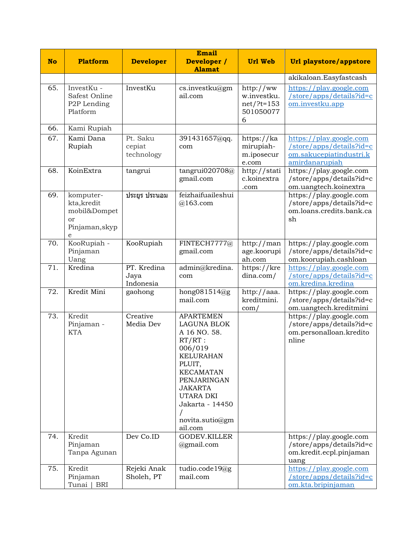| <b>No</b> | <b>Platform</b>                                                       | <b>Developer</b>                 | <b>Email</b><br>Developer /<br><b>Alamat</b>                                                                                                                                                                             | Url Web                                                      | Url playstore/appstore                                                                           |
|-----------|-----------------------------------------------------------------------|----------------------------------|--------------------------------------------------------------------------------------------------------------------------------------------------------------------------------------------------------------------------|--------------------------------------------------------------|--------------------------------------------------------------------------------------------------|
|           |                                                                       |                                  |                                                                                                                                                                                                                          |                                                              | akikaloan.Easyfastcash                                                                           |
| 65.       | InvestKu -<br>Safest Online<br>P <sub>2</sub> P Lending<br>Platform   | InvestKu                         | cs.investku@gm<br>ail.com                                                                                                                                                                                                | http://ww<br>w.investku.<br>$net/?t = 153$<br>501050077<br>6 | https://play.google.com<br>/store/apps/details?id=c<br>om.investku.app                           |
| 66.       | Kami Rupiah                                                           |                                  |                                                                                                                                                                                                                          |                                                              |                                                                                                  |
| 67.       | Kami Dana<br>Rupiah                                                   | Pt. Saku<br>cepiat<br>technology | 391431657@qq.<br>com                                                                                                                                                                                                     | https://ka<br>mirupiah-<br>m.iposecur<br>e.com               | https://play.google.com<br>/store/apps/details?id=c<br>om.sakucepiatindustri.k<br>amirdanarupiah |
| 68.       | KoinExtra                                                             | tangrui                          | tangrui020708@<br>gmail.com                                                                                                                                                                                              | http://stati<br>c.koinextra<br>.com                          | https://play.google.com<br>/store/apps/details?id=c<br>om.uangtech.koinextra                     |
| 69.       | komputer-<br>kta, kredit<br>mobil&Dompet<br>or<br>Pinjaman, skyp<br>e | ประยูร ประนอม                    | feizhaifuaileshui<br>@163.com                                                                                                                                                                                            |                                                              | https://play.google.com<br>/store/apps/details?id=c<br>om.loans.credits.bank.ca<br>sh            |
| 70.       | KooRupiah -<br>Pinjaman<br>Uang                                       | KooRupiah                        | FINTECH7777@<br>gmail.com                                                                                                                                                                                                | http://man<br>age.koorupi<br>ah.com                          | https://play.google.com<br>/store/apps/details?id=c<br>om.koorupiah.cashloan                     |
| 71.       | Kredina                                                               | PT. Kredina<br>Jaya<br>Indonesia | admin@kredina.<br>com                                                                                                                                                                                                    | https://kre<br>dina.com/                                     | https://play.google.com<br>/store/apps/details?id=c<br>om.kredina.kredina                        |
| 72.       | Kredit Mini                                                           | gaohong                          | hong081514@g<br>mail.com                                                                                                                                                                                                 | http://aaa.<br>kreditmini.<br>com/                           | https://play.google.com<br>/store/apps/details?id=c<br>om.uangtech.kreditmini                    |
| 73.       | Kredit<br>Pinjaman -<br><b>KTA</b>                                    | Creative<br>Media Dev            | <b>APARTEMEN</b><br>LAGUNA BLOK<br>A 16 NO. 58.<br>$RT/RT$ :<br>006/019<br>KELURAHAN<br>PLUIT,<br><b>KECAMATAN</b><br>PENJARINGAN<br><b>JAKARTA</b><br><b>UTARA DKI</b><br>Jakarta - 14450<br>novita.sutio@gm<br>ail.com |                                                              | https://play.google.com<br>/store/apps/details?id=c<br>om.personalloan.kredito<br>nline          |
| 74.       | Kredit<br>Pinjaman<br>Tanpa Agunan                                    | Dev Co.ID                        | <b>GODEV.KILLER</b><br>@gmail.com                                                                                                                                                                                        |                                                              | https://play.google.com<br>/store/apps/details?id=c<br>om.kredit.ecpl.pinjaman<br>uang           |
| 75.       | Kredit<br>Pinjaman<br>Tunai   BRI                                     | Rejeki Anak<br>Sholeh, PT        | tudio.code19@g<br>mail.com                                                                                                                                                                                               |                                                              | https://play.google.com<br>/store/apps/details?id=c<br>om.kta.bripinjaman                        |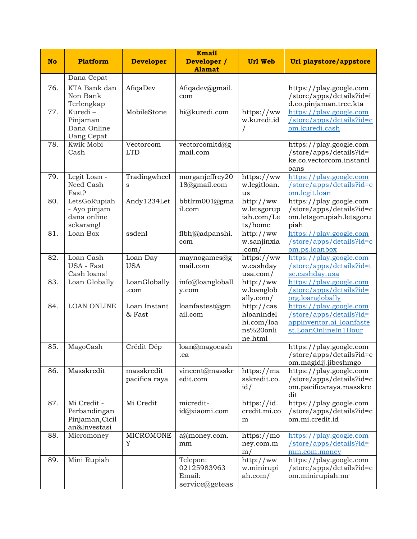| <b>No</b> | <b>Platform</b>                                                | <b>Developer</b>            | <b>Email</b><br>Developer /<br><b>Alamat</b>        | Url Web                                                        | Url playstore/appstore                                                                                 |
|-----------|----------------------------------------------------------------|-----------------------------|-----------------------------------------------------|----------------------------------------------------------------|--------------------------------------------------------------------------------------------------------|
|           | Dana Cepat                                                     |                             |                                                     |                                                                |                                                                                                        |
| 76.       | KTA Bank dan<br>Non Bank<br>Terlengkap                         | AfiqaDev                    | Afiqadev@gmail.<br>com                              |                                                                | https://play.google.com<br>/store/apps/details?id=i<br>d.co.pinjaman.tree.kta                          |
| 77.       | Kuredi-<br>Pinjaman<br>Dana Online<br><b>Uang Cepat</b>        | MobileStone                 | hi@kuredi.com                                       | https://ww<br>w.kuredi.id                                      | https://play.google.com<br>/store/apps/details?id=c<br>om.kuredi.cash                                  |
| 78.       | Kwik Mobi<br>Cash                                              | Vectorcom<br><b>LTD</b>     | vectorcomltd@g<br>mail.com                          |                                                                | https://play.google.com<br>/store/apps/details?id=<br>ke.co.vectorcom.instantl<br>oans                 |
| 79.       | Legit Loan -<br>Need Cash<br>Fast?                             | Tradingwheel<br>S           | morganjeffrey20<br>18@gmail.com                     | https://ww<br>w.legitloan.<br>us                               | https://play.google.com<br>/store/apps/details?id=c<br>om.legit.loan                                   |
| 80.       | LetsGoRupiah<br>- Ayo pinjam<br>dana online<br>sekarang!       | Andy1234Let                 | bbtlrm001@gma<br>il.com                             | http://ww<br>w.letsgorup<br>iah.com/Le<br>ts/home              | https://play.google.com<br>/store/apps/details?id=c<br>om.letsgorupiah.letsgoru<br>piah                |
| 81.       | Loan Box                                                       | ssdenl                      | flbhj@adpanshi.<br>com                              | http://ww<br>w.sanjinxia<br>.com/                              | https://play.google.com<br>/store/apps/details?id=c<br>om.ps.loanbox                                   |
| 82.       | Loan Cash<br>USA - Fast<br>Cash loans!                         | Loan Day<br><b>USA</b>      | maynogames@g<br>mail.com                            | https://ww<br>w.cashday<br>$\text{usa.com}/$                   | https://play.google.com<br>/store/apps/details?id=t<br>sc.cashday.usa                                  |
| 83.       | Loan Globally                                                  | LoanGlobally<br>.com        | info@loangloball<br>y.com                           | http://ww<br>w.loanglob<br>ally.com/                           | https://play.google.com<br>/store/apps/details?id=<br>org.loanglobally                                 |
| 84.       | <b>LOAN ONLINE</b>                                             | Loan Instant<br>& Fast      | loanfastest@gm<br>ail.com                           | http://cas<br>hloanindel<br>hi.com/loa<br>ns%20onli<br>ne.html | https://play.google.com<br>/store/apps/details?id=<br>appinventor.ai_loanfaste<br>st.LoanOnlineIn1Hour |
| 85.       | MagoCash                                                       | Crédit Dép                  | loan@magocash<br>.ca                                |                                                                | https://play.google.com<br>/store/apps/details?id=c<br>om.magidij.jibcshmgo                            |
| 86.       | Masskredit                                                     | masskredit<br>pacifica raya | vincent@masskr<br>edit.com                          | https://ma<br>sskredit.co.<br>id/                              | https://play.google.com<br>/store/apps/details?id=c<br>om.pacificaraya.masskre<br>dit                  |
| 87.       | Mi Credit -<br>Perbandingan<br>Pinjaman, Cicil<br>an&Investasi | Mi Credit                   | micredit-<br>id@xiaomi.com                          | https://id.<br>credit.mi.co<br>m                               | https://play.google.com<br>/store/apps/details?id=c<br>om.mi.credit.id                                 |
| 88.       | Micromoney                                                     | <b>MICROMONE</b><br>Y       | a@money.com.<br>mm                                  | https://mo<br>ney.com.m<br>m/                                  | https://play.google.com<br>/store/apps/details?id=<br>mm.com.money                                     |
| 89.       | Mini Rupiah                                                    |                             | Telepon:<br>02125983963<br>Email:<br>service@geteas | http://ww<br>w.minirupi<br>ah.com/                             | https://play.google.com<br>/store/apps/details?id=c<br>om.minirupiah.mr                                |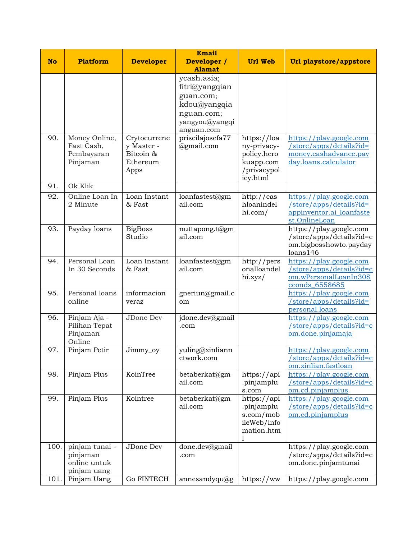| <b>No</b> | <b>Platform</b>                                           | <b>Developer</b>                                            | <b>Email</b><br>Developer /<br><b>Alamat</b>                                                             | Url Web                                                                           | Url playstore/appstore                                                                              |
|-----------|-----------------------------------------------------------|-------------------------------------------------------------|----------------------------------------------------------------------------------------------------------|-----------------------------------------------------------------------------------|-----------------------------------------------------------------------------------------------------|
|           |                                                           |                                                             | ycash.asia;<br>fitri@yangqian<br>guan.com;<br>kdou@yangqia<br>nguan.com;<br>yangyou@yangqi<br>anguan.com |                                                                                   |                                                                                                     |
| 90.       | Money Online,<br>Fast Cash,<br>Pembayaran<br>Pinjaman     | Crytocurrenc<br>y Master -<br>Bitcoin &<br>Ethereum<br>Apps | priscilajosefa77<br>@gmail.com                                                                           | https://loa<br>ny-privacy-<br>policy.hero<br>kuapp.com<br>/privacypol<br>icy.html | https://play.google.com<br>/store/apps/details?id=<br>money.cashadvance.pay<br>day.loans.calculator |
| 91.       | Ok Klik                                                   |                                                             |                                                                                                          |                                                                                   |                                                                                                     |
| 92.       | Online Loan In<br>2 Minute                                | Loan Instant<br>& Fast                                      | loanfastest@gm<br>ail.com                                                                                | http://cas<br>hloanindel<br>hi.com/                                               | https://play.google.com<br>/store/apps/details?id=<br>appinventor.ai_loanfaste<br>st.OnlineLoan     |
| 93.       | Payday loans                                              | <b>BigBoss</b><br>Studio                                    | nuttapong.t@gm<br>ail.com                                                                                |                                                                                   | https://play.google.com<br>/store/apps/details?id=c<br>om.bigbosshowto.payday<br>loans146           |
| 94.       | Personal Loan<br>In 30 Seconds                            | Loan Instant<br>& Fast                                      | loanfastest@gm<br>ail.com                                                                                | http://pers<br>onalloandel<br>hixyz/                                              | https://play.google.com<br>/store/apps/details?id=c<br>om.wPersonalLoanIn30S<br>econds_6558685      |
| 95.       | Personal loans<br>online                                  | informacion<br>veraz                                        | gneriun@gmail.c<br><sub>om</sub>                                                                         |                                                                                   | https://play.google.com<br>/store/apps/details?id=<br>personal.loans                                |
| 96.       | Pinjam Aja -<br>Pilihan Tepat<br>Pinjaman<br>Online       | JDone Dev                                                   | jdone.dev@gmail<br>.com                                                                                  |                                                                                   | https://play.google.com<br>/store/apps/details?id=c<br>om.done.pinjamaja                            |
| 97.       | Pinjam Petir                                              | Jimmy_oy                                                    | yuling@xinliann<br>etwork.com                                                                            |                                                                                   | https://play.google.com<br>/store/apps/details?id=c<br>om.xinlian.fastloan                          |
| 98.       | Pinjam Plus                                               | KoinTree                                                    | betaberkat@gm<br>ail.com                                                                                 | https://api<br>.pinjamplu<br>s.com                                                | https://play.google.com<br>/store/apps/details?id=c<br>om.cd.pinjamplus                             |
| 99.       | Pinjam Plus                                               | Kointree                                                    | betaberkat@gm<br>ail.com                                                                                 | https://api<br>.pinjamplu<br>s.com/mob<br>ileWeb/info<br>mation.htm<br>1          | https://play.google.com<br>/store/apps/details?id=c<br>om.cd.pinjamplus                             |
| 100.      | pinjam tunai -<br>pinjaman<br>online untuk<br>pinjam uang | JDone Dev                                                   | done.dev@gmail<br>.com                                                                                   |                                                                                   | https://play.google.com<br>/store/apps/details?id=c<br>om.done.pinjamtunai                          |
| 101.      | Pinjam Uang                                               | Go FINTECH                                                  | annesandyqu@g                                                                                            | https://ww                                                                        | https://play.google.com                                                                             |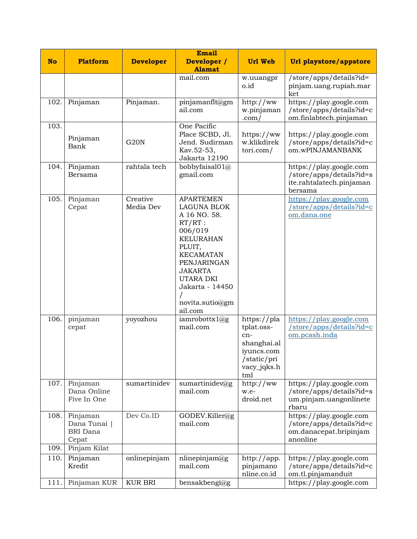| <b>No</b> | <b>Platform</b>                                      | <b>Developer</b>      | <b>Email</b><br>Developer /<br><b>Alamat</b>                                                                                                                                                                                    | Url Web                                                                                            | Url playstore/appstore                                                                     |
|-----------|------------------------------------------------------|-----------------------|---------------------------------------------------------------------------------------------------------------------------------------------------------------------------------------------------------------------------------|----------------------------------------------------------------------------------------------------|--------------------------------------------------------------------------------------------|
|           |                                                      |                       | mail.com                                                                                                                                                                                                                        | w.uuangpr<br>o.id                                                                                  | /store/apps/details?id=<br>pinjam.uang.rupiah.mar<br>ket                                   |
| 102.      | Pinjaman                                             | Pinjaman.             | pinjamanflt@gm<br>ail.com                                                                                                                                                                                                       | http://ww<br>w.pinjaman<br>.com/                                                                   | https://play.google.com<br>/store/apps/details?id=c<br>om.finlabtech.pinjaman              |
| 103.      | Pinjaman<br>Bank                                     | G20N                  | One Pacific<br>Place SCBD, Jl.<br>Jend. Sudirman<br>Kav.52-53,<br>Jakarta 12190                                                                                                                                                 | https://ww<br>w.klikdirek<br>tori.com/                                                             | https://play.google.com<br>/store/apps/details?id=c<br>om.wPINJAMANBANK                    |
| 104.      | Pinjaman<br>Bersama                                  | rahtala tech          | bobbyfaisal01@<br>gmail.com                                                                                                                                                                                                     |                                                                                                    | https://play.google.com<br>/store/apps/details?id=s<br>ite.rahtalatech.pinjaman<br>bersama |
| 105.      | Pinjaman<br>Cepat                                    | Creative<br>Media Dev | <b>APARTEMEN</b><br><b>LAGUNA BLOK</b><br>A 16 NO. 58.<br>$RT/RT$ :<br>006/019<br><b>KELURAHAN</b><br>PLUIT,<br><b>KECAMATAN</b><br>PENJARINGAN<br><b>JAKARTA</b><br>UTARA DKI<br>Jakarta - 14450<br>novita.sutio@gm<br>ail.com |                                                                                                    | https://play.google.com<br>/store/apps/details?id=c<br>om.dana.one                         |
| 106.      | pinjaman<br>cepat                                    | yoyozhou              | iamrobottx1@g<br>mail.com                                                                                                                                                                                                       | https://pla<br>tplat.oss-<br>cn-<br>shanghai.al<br>iyuncs.com<br>/static/pri<br>vacy_jqks.h<br>tml | https://play.google.com<br>/store/apps/details?id=c<br>om.pcash.inda                       |
| 107.      | Pinjaman<br>Dana Online<br>Five In One               | sumartinidev          | sumartinidev@g<br>mail.com                                                                                                                                                                                                      | http://ww<br>w.e-<br>droid.net                                                                     | https://play.google.com<br>/store/apps/details?id=s<br>um.pinjam.uangonlinete<br>rbaru     |
| 108.      | Pinjaman<br>Dana Tunai  <br><b>BRI</b> Dana<br>Cepat | Dev Co.ID             | GODEV.Killer@g<br>mail.com                                                                                                                                                                                                      |                                                                                                    | https://play.google.com<br>/store/apps/details?id=c<br>om.danacepat.bripinjam<br>anonline  |
| 109.      | Pinjam Kilat                                         |                       |                                                                                                                                                                                                                                 |                                                                                                    |                                                                                            |
| 110.      | Pinjaman<br>Kredit                                   | onlinepinjam          | nlinepinjam@g<br>mail.com                                                                                                                                                                                                       | http://app.<br>pinjamano<br>nline.co.id                                                            | https://play.google.com<br>/store/apps/details?id=c<br>om.tl.pinjamanduit                  |
| 111.      | Pinjaman KUR                                         | <b>KUR BRI</b>        | bensakbengi@g                                                                                                                                                                                                                   |                                                                                                    | https://play.google.com                                                                    |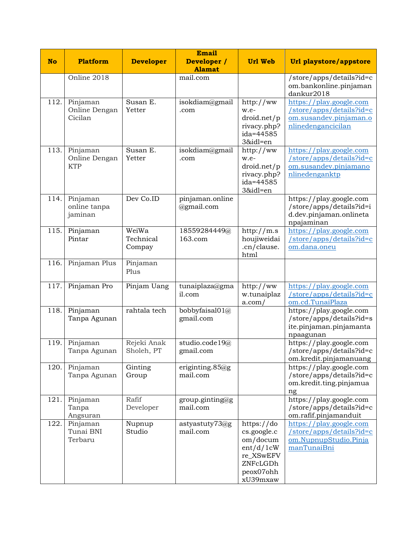| <b>No</b> | <b>Platform</b>                         | <b>Developer</b>             | <b>Email</b><br>Developer /   | Url Web                                                                                              | Url playstore/appstore                                                                              |
|-----------|-----------------------------------------|------------------------------|-------------------------------|------------------------------------------------------------------------------------------------------|-----------------------------------------------------------------------------------------------------|
|           |                                         |                              | <b>Alamat</b>                 |                                                                                                      |                                                                                                     |
|           | Online 2018                             |                              | mail.com                      |                                                                                                      | /store/apps/details?id=c<br>om.bankonline.pinjaman<br>dankur2018                                    |
| 112.      | Pinjaman<br>Online Dengan<br>Cicilan    | Susan E.<br>Yetter           | isokdiam@gmail<br>.com        | http://ww<br>w.e-<br>droid.net/p<br>rivacy.php?<br>ida=44585<br>3&idl=en                             | https://play.google.com<br>/store/apps/details?id=c<br>om.susandev.pinjaman.o<br>nlinedengancicilan |
| 113.      | Pinjaman<br>Online Dengan<br><b>KTP</b> | Susan E.<br>Yetter           | isokdiam@gmail<br>.com        | http://ww<br>w.e-<br>droid.net/p<br>rivacy.php?<br>ida=44585<br>3&idl=en                             | https://play.google.com<br>/store/apps/details?id=c<br>om.susandev.pinjamano<br>nlinedenganktp      |
| 114.      | Pinjaman<br>online tanpa<br>jaminan     | Dev Co.ID                    | pinjaman.online<br>@gmail.com |                                                                                                      | https://play.google.com<br>/store/apps/details?id=i<br>d.dev.pinjaman.onlineta<br>npajaminan        |
| 115.      | Pinjaman<br>Pintar                      | WeiWa<br>Technical<br>Compay | 18559284449@<br>163.com       | http:// $m.s$<br>houjiweidai<br>.cn/clause.<br>html                                                  | https://play.google.com<br>/store/apps/details?id=c<br>om.dana.oneu                                 |
| 116.      | Pinjaman Plus                           | Pinjaman<br>Plus             |                               |                                                                                                      |                                                                                                     |
| 117.      | Pinjaman Pro                            | Pinjam Uang                  | tunaiplaza@gma<br>il.com      | http://ww<br>w.tunaiplaz<br>a.com/                                                                   | https://play.google.com<br>/store/apps/details?id=c<br>om.cd.TunaiPlaza                             |
| 118.      | Pinjaman<br>Tanpa Agunan                | rahtala tech                 | bobbyfaisal01@<br>gmail.com   |                                                                                                      | https://play.google.com<br>/store/apps/details?id=s<br>ite.pinjaman.pinjamanta<br>npaagunan         |
| 119.      | Pinjaman<br>Tanpa Agunan                | Rejeki Anak<br>Sholeh, PT    | studio.code19@<br>gmail.com   |                                                                                                      | https://play.google.com<br>/store/apps/details?id=c<br>om.kredit.pinjamanuang                       |
| 120.      | Pinjaman<br>Tanpa Agunan                | Ginting<br>Group             | eriginting.85@g<br>mail.com   |                                                                                                      | https://play.google.com<br>/store/apps/details?id=c<br>om.kredit.ting.pinjamua<br>ng                |
| 121.      | Pinjaman<br>Tanpa<br>Angsuran           | Rafif<br>Developer           | group.ginting@g<br>mail.com   |                                                                                                      | https://play.google.com<br>/store/apps/details?id=c<br>om.rafif.pinjamanduit                        |
| 122.      | Pinjaman<br>Tunai BNI<br>Terbaru        | Nupnup<br>Studio             | astyastuty73@g<br>mail.com    | https://do<br>cs.google.c<br>om/docum<br>ent/d/1cW<br>re_XSwEFV<br>ZNFcLGDh<br>peox07ohh<br>xU39mxaw | https://play.google.com<br>/store/apps/details?id=c<br>om.NupnupStudio.Pinja<br>manTunaiBni         |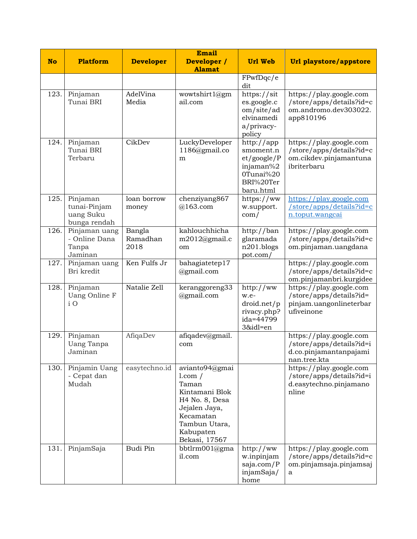| <b>No</b> | <b>Platform</b>                                       | <b>Developer</b>           | <b>Email</b><br>Developer /                                                                                                                            | <b>Url Web</b>                                                                             | Url playstore/appstore                                                                        |
|-----------|-------------------------------------------------------|----------------------------|--------------------------------------------------------------------------------------------------------------------------------------------------------|--------------------------------------------------------------------------------------------|-----------------------------------------------------------------------------------------------|
|           |                                                       |                            | <b>Alamat</b>                                                                                                                                          |                                                                                            |                                                                                               |
|           |                                                       |                            |                                                                                                                                                        | FPwfDqc/e<br>dit                                                                           |                                                                                               |
| 123.      | Pinjaman<br>Tunai BRI                                 | AdelVina<br>Media          | wowtshirt1@gm<br>ail.com                                                                                                                               | https://sit<br>es.google.c<br>om/site/ad<br>elvinamedi<br>a/privacy-<br>policy             | https://play.google.com<br>/store/apps/details?id=c<br>om.andromo.dev303022.<br>app810196     |
| 124.      | Pinjaman<br>Tunai BRI<br>Terbaru                      | CikDev                     | LuckyDeveloper<br>1186@gmail.co<br>m                                                                                                                   | http://app<br>smoment.n<br>et/google/P<br>injaman%2<br>0Tunai%20<br>BRI%20Ter<br>baru.html | https://play.google.com<br>/store/apps/details?id=c<br>om.cikdev.pinjamantuna<br>ibriterbaru  |
| 125.      | Pinjaman<br>tunai-Pinjam<br>uang Suku<br>bunga rendah | loan borrow<br>money       | chenziyang867<br>@163.com                                                                                                                              | https://ww<br>w.support.<br>com/                                                           | https://play.google.com<br>/store/apps/details?id=c<br>n.toput.wangcai                        |
| 126.      | Pinjaman uang<br>- Online Dana<br>Tanpa<br>Jaminan    | Bangla<br>Ramadhan<br>2018 | kahlouchhicha<br>m2012@gmail.c<br>om                                                                                                                   | http://ban<br>glaramada<br>$n201$ .blogs<br>pot.com/                                       | https://play.google.com<br>/store/apps/details?id=c<br>om.pinjaman.uangdana                   |
| 127.      | Pinjaman uang<br>Bri kredit                           | Ken Fulfs Jr               | bahagiatetep17<br>@gmail.com                                                                                                                           |                                                                                            | https://play.google.com<br>/store/apps/details?id=c<br>om.pinjamanbri.kurgidee                |
| 128.      | Pinjaman<br>Uang Online F<br>i <sub>0</sub>           | Natalie Zell               | keranggoreng33<br>@gmail.com                                                                                                                           | http://ww<br>w.e-<br>droid.net/p<br>rivacy.php?<br>ida=44799<br>3&idl=en                   | https://play.google.com<br>/store/apps/details?id=<br>pinjam.uangonlineterbar<br>ufiveinone   |
| 129.      | Pinjaman<br><b>Uang Tanpa</b><br>Jaminan              | AfiqaDev                   | afiqadev@gmail.<br>com                                                                                                                                 |                                                                                            | https://play.google.com<br>/store/apps/details?id=i<br>d.co.pinjamantanpajami<br>nan.tree.kta |
| 130.      | Pinjamin Uang<br>- Cepat dan<br>Mudah                 | easytechno.id              | avianto94@gmai<br>$1$ .com /<br>Taman<br>Kintamani Blok<br>H4 No. 8, Desa<br>Jejalen Jaya,<br>Kecamatan<br>Tambun Utara,<br>Kabupaten<br>Bekasi, 17567 |                                                                                            | https://play.google.com<br>/store/apps/details?id=i<br>d.easytechno.pinjamano<br>nline        |
| 131.      | PinjamSaja                                            | Budi Pin                   | bbtlrm001@gma<br>il.com                                                                                                                                | http://ww<br>w.inpinjam<br>saja.com/P<br>injamSaja/<br>home                                | https://play.google.com<br>/store/apps/details?id=c<br>om.pinjamsaja.pinjamsaj<br>a           |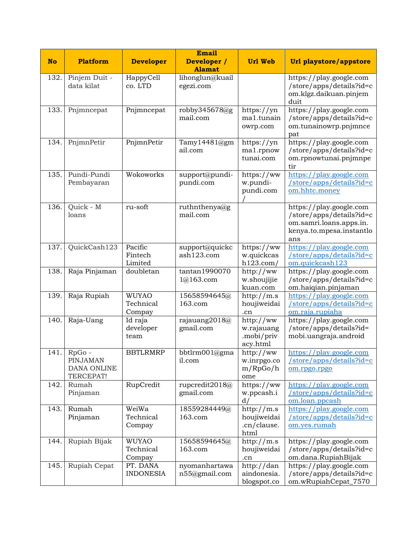| <b>No</b> | <b>Platform</b>                                         | <b>Developer</b>                    | <b>Email</b><br>Developer /<br><b>Alamat</b> | <b>Url Web</b>                                      | Url playstore/appstore                                                                                            |
|-----------|---------------------------------------------------------|-------------------------------------|----------------------------------------------|-----------------------------------------------------|-------------------------------------------------------------------------------------------------------------------|
| 132.      | Pinjem Duit -<br>data kilat                             | HappyCell<br>co. LTD                | lihonglun@kuail<br>egezi.com                 |                                                     | https://play.google.com<br>/store/apps/details?id=c<br>om.klgz.daikuan.pinjem<br>duit                             |
| 133.      | Pnjmncepat                                              | Pnjmncepat                          | robby345678@g<br>mail.com                    | https://yn<br>ma1.tunain<br>owrp.com                | https://play.google.com<br>/store/apps/details?id=c<br>om.tunainowrp.pnjmnce<br>pat                               |
| 134.      | PnjmnPetir                                              | PnjmnPetir                          | Tamy14481@gm<br>ail.com                      | https://yn<br>ma1.rpnow<br>tunai.com                | https://play.google.com<br>/store/apps/details?id=c<br>om.rpnowtunai.pnjmnpe<br>tir                               |
| 135.      | Pundi-Pundi<br>Pembayaran                               | Wokoworks                           | support@pundi-<br>pundi.com                  | https://ww<br>w.pundi-<br>pundi.com                 | https://play.google.com<br>/store/apps/details?id=c<br>om.hhtc.money                                              |
| 136.      | Quick - M<br>loans                                      | ru-soft                             | ruthnthenya@g<br>mail.com                    |                                                     | https://play.google.com<br>/store/apps/details?id=c<br>om.samri.loans.apps.in.<br>kenya.to.mpesa.instantlo<br>ans |
| 137.      | QuickCash123                                            | Pacific<br>Fintech<br>Limited       | support@quickc<br>ash123.com                 | https://ww<br>w.quickcas<br>h123.com/               | https://play.google.com<br>/store/apps/details?id=c<br>om.quickcash123                                            |
| 138.      | Raja Pinjaman                                           | doubletan                           | tantan1990070<br>1@163.com                   | http://ww<br>w.shoujijie<br>kuan.com                | https://play.google.com<br>/store/apps/details?id=c<br>om.haiqian.pinjaman                                        |
| 139.      | Raja Rupiah                                             | <b>WUYAO</b><br>Technical<br>Compay | 15658594645@<br>163.com                      | http:// $m.s$<br>houjiweidai<br>.cn                 | https://play.google.com<br>/store/apps/details?id=c<br>om.raja.rupiaha                                            |
| 140.      | Raja-Uang                                               | Id raja<br>developer<br>team        | rajauang2018@<br>gmail.com                   | http://ww<br>w.rajauang<br>.mobi/priv<br>acy.html   | https://play.google.com<br>/store/apps/details?id=<br>mobi.uangraja.android                                       |
| 141.      | $RpGo -$<br><b>PINJAMAN</b><br>DANA ONLINE<br>TERCEPAT! | <b>BBTLRMRP</b>                     | bbtlrm001@gma<br>il.com                      | http://ww<br>w.inrpgo.co<br>m/RpGo/h<br>ome         | https://play.google.com<br>/store/apps/details?id=c<br>om.rpgo.rpgo                                               |
| 142.      | Rumah<br>Pinjaman                                       | RupCredit                           | rupcredit2018@<br>gmail.com                  | https://ww<br>w.ppcash.i<br>d/                      | https://play.google.com<br>/store/apps/details?id=c<br>om.loan.ppcash                                             |
| 143.      | Rumah<br>Pinjaman                                       | WeiWa<br>Technical<br>Compay        | 18559284449@<br>163.com                      | http:// $m.s$<br>houjiweidai<br>.cn/clause.<br>html | https://play.google.com<br>/store/apps/details?id=c<br>om.yes.rumah                                               |
| 144.      | Rupiah Bijak                                            | <b>WUYAO</b><br>Technical<br>Compay | 15658594645@<br>163.com                      | http:// $m.s$<br>houjiweidai<br>.cn                 | https://play.google.com<br>/store/apps/details?id=c<br>om.dana.RupiahBijak                                        |
| 145.      | Rupiah Cepat                                            | PT. DANA<br><b>INDONESIA</b>        | nyomanhartawa<br>n55@gmail.com               | http://dan<br>aindonesia.<br>blogspot.co            | https://play.google.com<br>/store/apps/details?id=c<br>om.wRupiahCepat_7570                                       |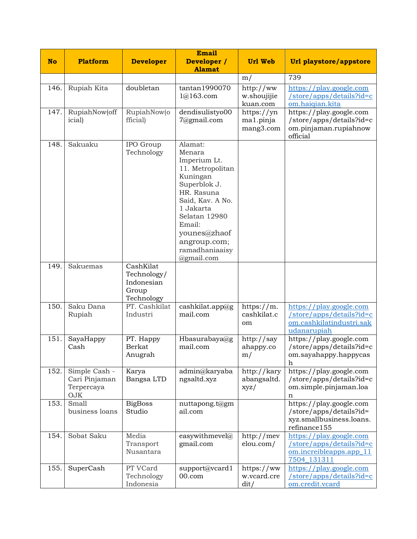| <b>No</b> | <b>Platform</b>                                           | <b>Developer</b>                                              | <b>Email</b><br>Developer /<br><b>Alamat</b>                                                                                                                                                                                | <b>Url Web</b>                                        | Url playstore/appstore                                                                         |
|-----------|-----------------------------------------------------------|---------------------------------------------------------------|-----------------------------------------------------------------------------------------------------------------------------------------------------------------------------------------------------------------------------|-------------------------------------------------------|------------------------------------------------------------------------------------------------|
|           |                                                           |                                                               |                                                                                                                                                                                                                             | m/                                                    | 739                                                                                            |
| 146.      | Rupiah Kita                                               | doubletan                                                     | tantan1990070<br>1@163.com                                                                                                                                                                                                  | http://ww<br>w.shoujijie<br>kuan.com                  | https://play.google.com<br>/store/apps/details?id=c<br>om.haiqian.kita                         |
| 147.      | RupiahNow(off<br>icial)                                   | RupiahNow(o<br>fficial)                                       | dendisulistyo00<br>7@gmail.com                                                                                                                                                                                              | https://yn<br>ma1.pinja<br>mang3.com                  | https://play.google.com<br>/store/apps/details?id=c<br>om.pinjaman.rupiahnow<br>official       |
| 148.      | Sakuaku                                                   | IPO Group<br>Technology                                       | Alamat:<br>Menara<br>Imperium Lt.<br>11. Metropolitan<br>Kuningan<br>Superblok J.<br>HR. Rasuna<br>Said, Kav. A No.<br>1 Jakarta<br>Selatan 12980<br>Email:<br>younes@zhaof<br>angroup.com;<br>ramadhaniaaisy<br>@gmail.com |                                                       |                                                                                                |
| 149.      | Sakuemas                                                  | CashKilat<br>Technology/<br>Indonesian<br>Group<br>Technology |                                                                                                                                                                                                                             |                                                       |                                                                                                |
| 150.      | Saku Dana<br>Rupiah                                       | PT. Cashkilat<br>Industri                                     | cashkilat.app@g<br>mail.com                                                                                                                                                                                                 | https://m.<br>cashkilat.c<br>om                       | https://play.google.com<br>/store/apps/details?id=c<br>om.cashkilatindustri.sak<br>udanarupiah |
| 151.      | SayaHappy<br>Cash                                         | PT. Happy<br>Berkat<br>Anugrah                                | Hbasurabaya@g<br>mail.com                                                                                                                                                                                                   | http://say<br>ahappy.co<br>m/                         | https://play.google.com<br>/store/apps/details?id=c<br>om.sayahappy.happycas<br>h              |
| 152.      | Simple Cash -<br>Cari Pinjaman<br>Terpercaya<br>$\rm OJK$ | Karya<br>Bangsa LTD                                           | admin@karyaba<br>ngsaltd.xyz                                                                                                                                                                                                | http://kary<br>abangsaltd.<br>xyz/                    | https://play.google.com<br>/store/apps/details?id=c<br>om.simple.pinjaman.loa<br>n             |
| 153.      | Small<br>business loans                                   | <b>BigBoss</b><br>Studio                                      | nuttapong.t@gm<br>ail.com                                                                                                                                                                                                   |                                                       | https://play.google.com<br>/store/apps/details?id=<br>xyz.smallbusiness.loans.<br>refinance155 |
| 154.      | Sobat Saku                                                | Media<br>Transport<br>Nusantara                               | easywithmevel@<br>gmail.com                                                                                                                                                                                                 | http://mev<br>elou.com/                               | https://play.google.com<br>/store/apps/details?id=c<br>om.increibleapps.app_11<br>7504_131311  |
| 155.      | SuperCash                                                 | PT VCard<br>Technology<br>Indonesia                           | support@vcard1<br>00.com                                                                                                                                                                                                    | https://ww<br>w.vcard.cre<br>$\mathrm{dit}/\mathrm{}$ | https://play.google.com<br>/store/apps/details?id=c<br>om.credit.vcard                         |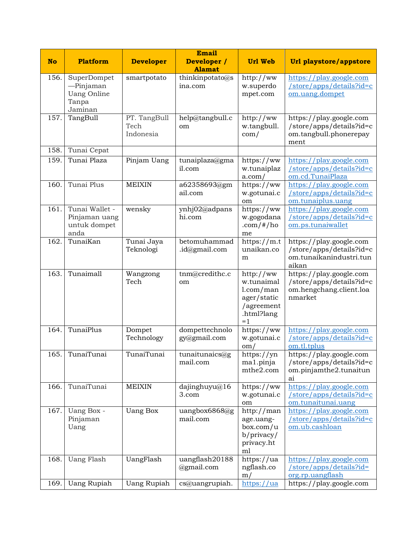|           |                                 |                  | <b>Email</b>                 |                                               |                                                     |
|-----------|---------------------------------|------------------|------------------------------|-----------------------------------------------|-----------------------------------------------------|
| <b>No</b> | <b>Platform</b>                 | <b>Developer</b> | Developer /<br><b>Alamat</b> | <b>Url Web</b>                                | Url playstore/appstore                              |
| 156.      | SuperDompet                     | smartpotato      | thinkinpotato@s              | http://ww                                     | https://play.google.com                             |
|           | -Pinjaman<br><b>Uang Online</b> |                  | ina.com                      | w.superdo                                     | /store/apps/details?id=c                            |
|           | Tanpa                           |                  |                              | mpet.com                                      | om.uang.dompet                                      |
|           | Jaminan                         |                  |                              |                                               |                                                     |
| 157.      | TangBull                        | PT. TangBull     | help@tangbull.c              | http://ww                                     | https://play.google.com                             |
|           |                                 | Tech             | om                           | w.tangbull.                                   | /store/apps/details?id=c                            |
|           |                                 | Indonesia        |                              | com/                                          | om.tangbull.phonerepay<br>ment                      |
| 158.      | Tunai Cepat                     |                  |                              |                                               |                                                     |
| 159.      | Tunai Plaza                     | Pinjam Uang      | tunaiplaza@gma               | https://ww                                    | https://play.google.com                             |
|           |                                 |                  | il.com                       | w.tunaiplaz                                   | /store/apps/details?id=c                            |
| 160.      | Tunai Plus                      | <b>MEIXIN</b>    |                              | a.com/                                        | om.cd.TunaiPlaza                                    |
|           |                                 |                  | a62358693@gm<br>ail.com      | $\overline{\text{https://ww}}$<br>w.gotunai.c | https://play.google.com<br>/store/apps/details?id=c |
|           |                                 |                  |                              | om                                            | om.tunaiplus.uang                                   |
| 161.      | Tunai Wallet -                  | wensky           | ynhj02@adpans                | https://ww                                    | https://play.google.com                             |
|           | Pinjaman uang                   |                  | hi.com                       | w.gogodana                                    | /store/apps/details?id=c                            |
|           | untuk dompet<br>anda            |                  |                              | .com/#/ho                                     | om.ps.tunaiwallet                                   |
| 162.      | TunaiKan                        | Tunai Jaya       | betomuhammad                 | me<br>https://m.t                             | https://play.google.com                             |
|           |                                 | Teknologi        | .id@gmail.com                | unaikan.co                                    | /store/apps/details?id=c                            |
|           |                                 |                  |                              | m                                             | om.tunaikanindustri.tun                             |
|           |                                 |                  |                              |                                               | aikan                                               |
| 163.      | Tunaimall                       | Wangzong<br>Tech | tnm@credithc.c<br>om         | http://ww<br>w.tunaimal                       | https://play.google.com<br>/store/apps/details?id=c |
|           |                                 |                  |                              | $1$ .com/man                                  | om.hengchang.client.loa                             |
|           |                                 |                  |                              | ager/static                                   | nmarket                                             |
|           |                                 |                  |                              | /agreement                                    |                                                     |
|           |                                 |                  |                              | .html?lang                                    |                                                     |
| 164.      | TunaiPlus                       | Dompet           | dompettechnolo               | $=1$<br>https://ww                            | https://play.google.com                             |
|           |                                 | Technology       | gy@gmail.com                 | w.gotunai.c                                   | /store/apps/details?id=c                            |
|           |                                 |                  |                              | $\sigma$                                      | om.tl.tplus                                         |
|           | 165. TunaiTunai                 | TunaiTunai       | tunaitunaics@g               | https://yn                                    | https://play.google.com                             |
|           |                                 |                  | mail.com                     | ma1.pinja<br>mthe2.com                        | /store/apps/details?id=c<br>om.pinjamthe2.tunaitun  |
|           |                                 |                  |                              |                                               | ai                                                  |
| 166.      | TunaiTunai                      | <b>MEIXIN</b>    | dajinghuyu@16                | https://ww                                    | https://play.google.com                             |
|           |                                 |                  | 3.com                        | w.gotunai.c                                   | /store/apps/details?id=c                            |
| 167.      | Uang Box -                      | <b>Uang Box</b>  | uangbox6868@g                | $\;{\rm om}$<br>http://man                    | om.tunaitunai.uang<br>https://play.google.com       |
|           | Pinjaman                        |                  | mail.com                     | age.uang-                                     | /store/apps/details?id=c                            |
|           | Uang                            |                  |                              | box.com/u                                     | om.ub.cashloan                                      |
|           |                                 |                  |                              | $b/$ privacy/                                 |                                                     |
|           |                                 |                  |                              | privacy.ht<br>ml                              |                                                     |
| 168.      | <b>Uang Flash</b>               | UangFlash        | uangflash20188               | https://ua                                    | https://play.google.com                             |
|           |                                 |                  | @gmail.com                   | ngflash.co                                    | /store/apps/details?id=                             |
|           |                                 |                  |                              | m/                                            | org.rp.uangflash                                    |
| 169.      | <b>Uang Rupiah</b>              | Uang Rupiah      | cs@uangrupiah.               | https://ua                                    | https://play.google.com                             |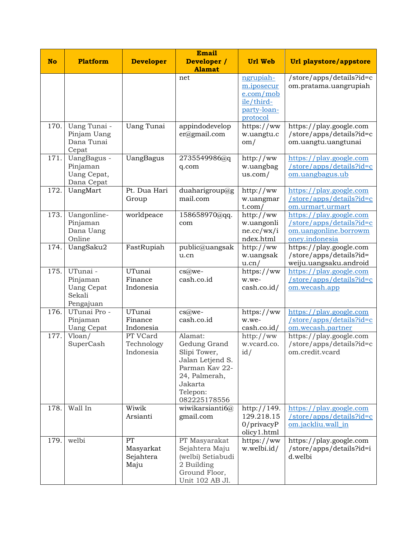| <b>No</b> | <b>Platform</b>                                                  | <b>Developer</b>                     | <b>Email</b><br>Developer /<br><b>Alamat</b>                                                                                          | Url Web                                                                          | Url playstore/appstore                                                                         |
|-----------|------------------------------------------------------------------|--------------------------------------|---------------------------------------------------------------------------------------------------------------------------------------|----------------------------------------------------------------------------------|------------------------------------------------------------------------------------------------|
|           |                                                                  |                                      | net                                                                                                                                   | ngrupiah-<br>m.iposecur<br>$e$ .com/mob<br>ile/third-<br>party-loan-<br>protocol | /store/apps/details?id=c<br>om.pratama.uangrupiah                                              |
| 170.      | Uang Tunai -<br>Pinjam Uang<br>Dana Tunai<br>Cepat               | Uang Tunai                           | appindodevelop<br>er@gmail.com                                                                                                        | https://ww<br>w.uangtu.c<br>$\sigma$                                             | https://play.google.com<br>/store/apps/details?id=c<br>om.uangtu.uangtunai                     |
| 171.      | UangBagus -<br>Pinjaman<br>Uang Cepat,<br>Dana Cepat             | <b>UangBagus</b>                     | 2735549986@q<br>q.com                                                                                                                 | http://ww<br>w.uangbag<br>us.com/                                                | https://play.google.com<br>/store/apps/details?id=c<br>om.uangbagus.ub                         |
| 172.      | UangMart                                                         | Pt. Dua Hari<br>Group                | duaharigroup@g<br>mail.com                                                                                                            | http://ww<br>w.uangmar<br>t.com/                                                 | https://play.google.com<br>/store/apps/details?id=c<br>om.urmart.urmart                        |
| 173.      | Uangonline-<br>Pinjaman<br>Dana Uang<br>Online                   | worldpeace                           | 158658970@qq.<br>com                                                                                                                  | http://ww<br>w.uangonli<br>$ne$ .cc/wx/i<br>ndex.html                            | https://play.google.com<br>/store/apps/details?id=c<br>om.uangonline.borrowm<br>oney.indonesia |
| 174.      | UangSaku2                                                        | FastRupiah                           | public@uangsak<br>u.cn                                                                                                                | http://ww<br>w.uangsak<br>u cn/                                                  | https://play.google.com<br>/store/apps/details?id=<br>weiju.uangsaku.android                   |
| 175.      | UTunai -<br>Pinjaman<br><b>Uang Cepat</b><br>Sekali<br>Pengajuan | UTunai<br>Finance<br>Indonesia       | $cs@we-$<br>cash.co.id                                                                                                                | https://ww<br>w.we-<br>cash.co.id/                                               | https://play.google.com<br>/store/apps/details?id=c<br>om.wecash.app                           |
| 176.      | UTunai Pro -<br>Pinjaman<br><b>Uang Cepat</b>                    | UTunai<br>Finance<br>Indonesia       | $cs@we-$<br>cash.co.id                                                                                                                | https://ww<br>w.we-<br>cash.co.id/                                               | https://play.google.com<br>/store/apps/details?id=c<br>om.wecash.partner                       |
| 177.      | Vloan/<br>SuperCash                                              | PT VCard<br>Technology<br>Indonesia  | Alamat:<br>Gedung Grand<br>Slipi Tower,<br>Jalan Letjend S.<br>Parman Kav 22-<br>24, Palmerah,<br>Jakarta<br>Telepon:<br>082225178556 | http://ww<br>w.vcard.co.<br>id/                                                  | https://play.google.com<br>/store/apps/details?id=c<br>om.credit.vcard                         |
| 178.      | Wall In                                                          | Wiwik<br>Arsianti                    | wiwikarsianti6@<br>gmail.com                                                                                                          | http://149.<br>129.218.15<br>$0/$ privacyP<br>olicy1.html                        | https://play.google.com<br>/store/apps/details?id=c<br>om.jackliu.wall in                      |
| 179.      | welbi                                                            | PT<br>Masyarkat<br>Sejahtera<br>Maju | PT Masyarakat<br>Sejahtera Maju<br>(welbi) Setiabudi<br>2 Building<br>Ground Floor,<br>Unit 102 AB Jl.                                | https://ww<br>w.welbi.id/                                                        | https://play.google.com<br>/store/apps/details?id=i<br>d.welbi                                 |